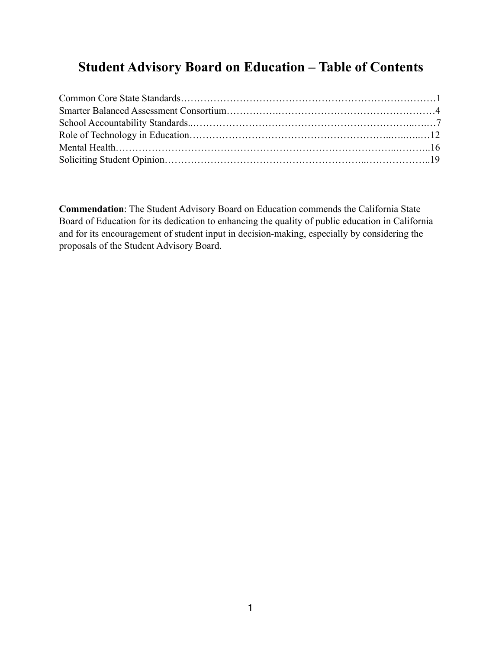## **Student Advisory Board on Education – Table of Contents**

**Commendation**: The Student Advisory Board on Education commends the California State Board of Education for its dedication to enhancing the quality of public education in California and for its encouragement of student input in decision-making, especially by considering the proposals of the Student Advisory Board.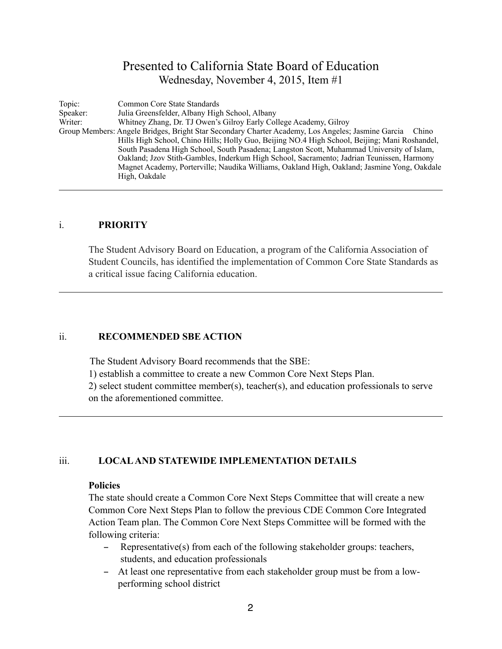## Presented to California State Board of Education Wednesday, November 4, 2015, Item #1

Topic: Common Core State Standards Speaker: Julia Greensfelder, Albany High School, Albany Writer: Whitney Zhang, Dr. TJ Owen's Gilroy Early Col Whitney Zhang, Dr. TJ Owen's Gilroy Early College Academy, Gilroy Group Members: Angele Bridges, Bright Star Secondary Charter Academy, Los Angeles; Jasmine Garcia Chino Hills High School, Chino Hills; Holly Guo, Beijing NO.4 High School, Beijing; Mani Roshandel, South Pasadena High School, South Pasadena; Langston Scott, Muhammad University of Islam, Oakland; Jzov Stith-Gambles, Inderkum High School, Sacramento; Jadrian Teunissen, Harmony Magnet Academy, Porterville; Naudika Williams, Oakland High, Oakland; Jasmine Yong, Oakdale High, Oakdale

#### i. **PRIORITY**

The Student Advisory Board on Education, a program of the California Association of Student Councils, has identified the implementation of Common Core State Standards as a critical issue facing California education.

#### ii. **RECOMMENDED SBE ACTION**

The Student Advisory Board recommends that the SBE:

1) establish a committee to create a new Common Core Next Steps Plan.

 2) select student committee member(s), teacher(s), and education professionals to serve on the aforementioned committee.

#### iii. **LOCAL AND STATEWIDE IMPLEMENTATION DETAILS**

#### **Policies**

The state should create a Common Core Next Steps Committee that will create a new Common Core Next Steps Plan to follow the previous CDE Common Core Integrated Action Team plan. The Common Core Next Steps Committee will be formed with the following criteria:

- Representative(s) from each of the following stakeholder groups: teachers, students, and education professionals
- At least one representative from each stakeholder group must be from a lowperforming school district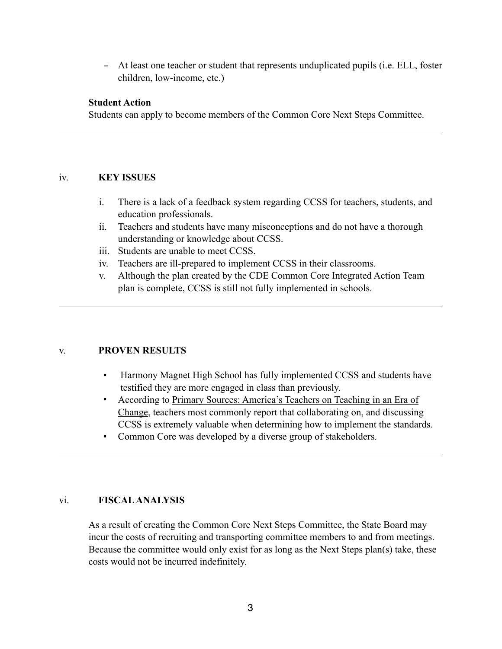- At least one teacher or student that represents unduplicated pupils (i.e. ELL, foster children, low-income, etc.)

#### **Student Action**

Students can apply to become members of the Common Core Next Steps Committee.

#### iv. **KEY ISSUES**

- i. There is a lack of a feedback system regarding CCSS for teachers, students, and education professionals.
- ii. Teachers and students have many misconceptions and do not have a thorough understanding or knowledge about CCSS.
- iii. Students are unable to meet CCSS.
- iv. Teachers are ill-prepared to implement CCSS in their classrooms.
- v. Although the plan created by the CDE Common Core Integrated Action Team plan is complete, CCSS is still not fully implemented in schools.

## v. **PROVEN RESULTS**

- Harmony Magnet High School has fully implemented CCSS and students have testified they are more engaged in class than previously.
- According to Primary Sources: America's Teachers on Teaching in an Era of Change, teachers most commonly report that collaborating on, and discussing CCSS is extremely valuable when determining how to implement the standards.
- Common Core was developed by a diverse group of stakeholders.

## vi. **FISCAL ANALYSIS**

As a result of creating the Common Core Next Steps Committee, the State Board may incur the costs of recruiting and transporting committee members to and from meetings. Because the committee would only exist for as long as the Next Steps plan(s) take, these costs would not be incurred indefinitely.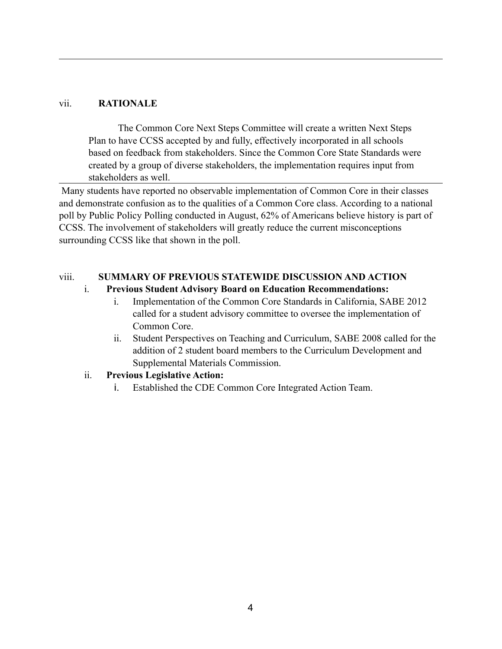#### vii. **RATIONALE**

The Common Core Next Steps Committee will create a written Next Steps Plan to have CCSS accepted by and fully, effectively incorporated in all schools based on feedback from stakeholders. Since the Common Core State Standards were created by a group of diverse stakeholders, the implementation requires input from stakeholders as well.

 Many students have reported no observable implementation of Common Core in their classes and demonstrate confusion as to the qualities of a Common Core class. According to a national poll by Public Policy Polling conducted in August, 62% of Americans believe history is part of CCSS. The involvement of stakeholders will greatly reduce the current misconceptions surrounding CCSS like that shown in the poll.

#### viii. **SUMMARY OF PREVIOUS STATEWIDE DISCUSSION AND ACTION**

#### i. **Previous Student Advisory Board on Education Recommendations:**

- i. Implementation of the Common Core Standards in California, SABE 2012 called for a student advisory committee to oversee the implementation of Common Core.
- ii. Student Perspectives on Teaching and Curriculum, SABE 2008 called for the addition of 2 student board members to the Curriculum Development and Supplemental Materials Commission.

## ii. **Previous Legislative Action:**

i. Established the CDE Common Core Integrated Action Team.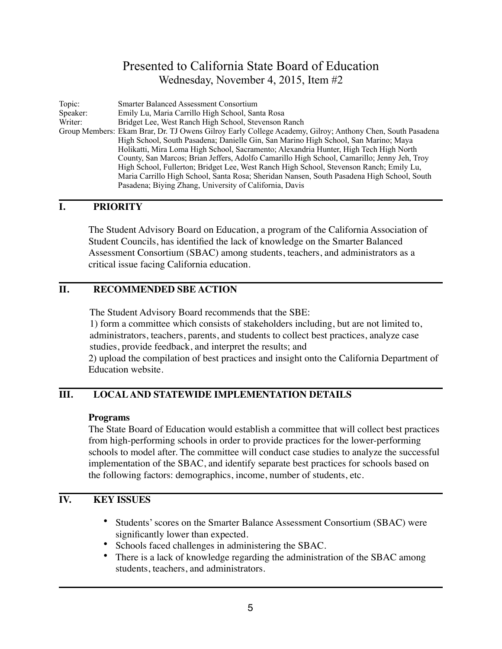## Presented to California State Board of Education Wednesday, November 4, 2015, Item #2

Topic: Smarter Balanced Assessment Consortium Speaker: Emily Lu, Maria Carrillo High School, Santa Rosa Bridget Lee, West Ranch High School, Stevenson Ranch Group Members: Ekam Brar, Dr. TJ Owens Gilroy Early College Academy, Gilroy; Anthony Chen, South Pasadena High School, South Pasadena; Danielle Gin, San Marino High School, San Marino; Maya Holikatti, Mira Loma High School, Sacramento; Alexandria Hunter, High Tech High North County, San Marcos; Brian Jeffers, Adolfo Camarillo High School, Camarillo; Jenny Jeh, Troy High School, Fullerton; Bridget Lee, West Ranch High School, Stevenson Ranch; Emily Lu, Maria Carrillo High School, Santa Rosa; Sheridan Nansen, South Pasadena High School, South Pasadena; Biying Zhang, University of California, Davis

## **I. PRIORITY**

The Student Advisory Board on Education, a program of the California Association of Student Councils, has identified the lack of knowledge on the Smarter Balanced Assessment Consortium (SBAC) among students, teachers, and administrators as a critical issue facing California education.

## **II. RECOMMENDED SBE ACTION**

The Student Advisory Board recommends that the SBE:

1) form a committee which consists of stakeholders including, but are not limited to, administrators, teachers, parents, and students to collect best practices, analyze case studies, provide feedback, and interpret the results; and

2) upload the compilation of best practices and insight onto the California Department of Education website.

## **III. LOCAL AND STATEWIDE IMPLEMENTATION DETAILS**

#### **Programs**

The State Board of Education would establish a committee that will collect best practices from high-performing schools in order to provide practices for the lower-performing schools to model after. The committee will conduct case studies to analyze the successful implementation of the SBAC, and identify separate best practices for schools based on the following factors: demographics, income, number of students, etc.

## **IV. KEY ISSUES**

- Students' scores on the Smarter Balance Assessment Consortium (SBAC) were significantly lower than expected.
- Schools faced challenges in administering the SBAC.
- There is a lack of knowledge regarding the administration of the SBAC among students, teachers, and administrators.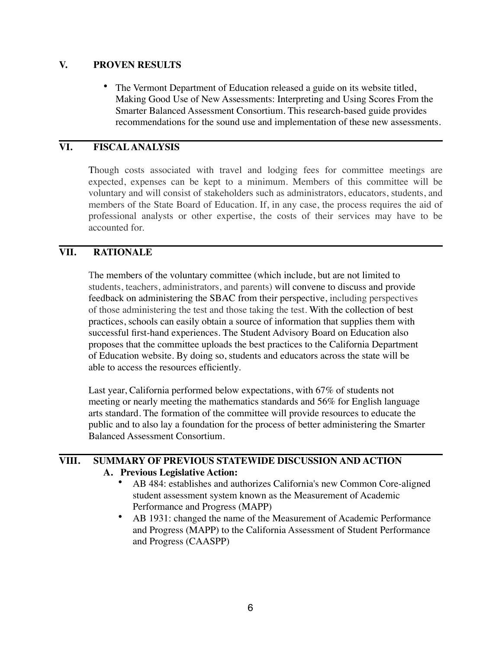#### **V. PROVEN RESULTS**

• The Vermont Department of Education released a guide on its website titled, Making Good Use of New Assessments: Interpreting and Using Scores From the Smarter Balanced Assessment Consortium. This research-based guide provides recommendations for the sound use and implementation of these new assessments.

## **VI. FISCAL ANALYSIS**

Though costs associated with travel and lodging fees for committee meetings are expected, expenses can be kept to a minimum. Members of this committee will be voluntary and will consist of stakeholders such as administrators, educators, students, and members of the State Board of Education. If, in any case, the process requires the aid of professional analysts or other expertise, the costs of their services may have to be accounted for.

## **VII. RATIONALE**

The members of the voluntary committee (which include, but are not limited to students, teachers, administrators, and parents) will convene to discuss and provide feedback on administering the SBAC from their perspective, including perspectives of those administering the test and those taking the test. With the collection of best practices, schools can easily obtain a source of information that supplies them with successful first-hand experiences. The Student Advisory Board on Education also proposes that the committee uploads the best practices to the California Department of Education website. By doing so, students and educators across the state will be able to access the resources efficiently.

Last year, California performed below expectations, with 67% of students not meeting or nearly meeting the mathematics standards and 56% for English language arts standard. The formation of the committee will provide resources to educate the public and to also lay a foundation for the process of better administering the Smarter Balanced Assessment Consortium.

#### **VIII. SUMMARY OF PREVIOUS STATEWIDE DISCUSSION AND ACTION A. Previous Legislative Action:**

- AB 484: establishes and authorizes California's new Common Core-aligned student assessment system known as the Measurement of Academic Performance and Progress (MAPP)
- AB 1931: changed the name of the Measurement of Academic Performance and Progress (MAPP) to the California Assessment of Student Performance and Progress (CAASPP)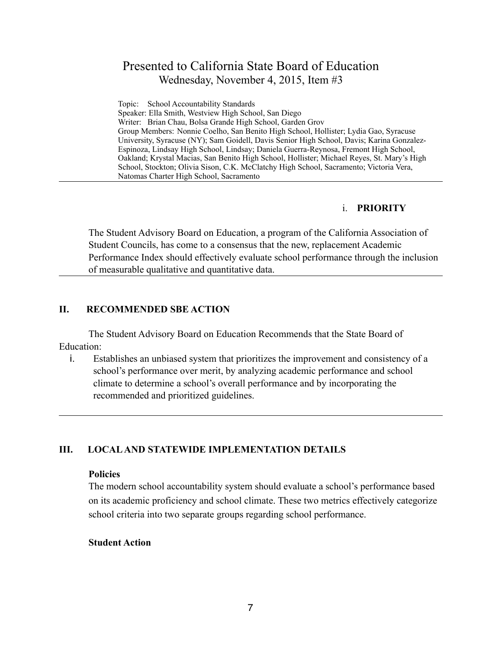## Presented to California State Board of Education Wednesday, November 4, 2015, Item #3

Topic: School Accountability Standards Speaker: Ella Smith, Westview High School, San Diego Writer: Brian Chau, Bolsa Grande High School, Garden Grov Group Members: Nonnie Coelho, San Benito High School, Hollister; Lydia Gao, Syracuse University, Syracuse (NY); Sam Goidell, Davis Senior High School, Davis; Karina Gonzalez-Espinoza, Lindsay High School, Lindsay; Daniela Guerra-Reynosa, Fremont High School, Oakland; Krystal Macias, San Benito High School, Hollister; Michael Reyes, St. Mary's High School, Stockton; Olivia Sison, C.K. McClatchy High School, Sacramento; Victoria Vera, Natomas Charter High School, Sacramento

#### i. **PRIORITY**

The Student Advisory Board on Education, a program of the California Association of Student Councils, has come to a consensus that the new, replacement Academic Performance Index should effectively evaluate school performance through the inclusion of measurable qualitative and quantitative data.

## **II. RECOMMENDED SBE ACTION**

The Student Advisory Board on Education Recommends that the State Board of Education:

i. Establishes an unbiased system that prioritizes the improvement and consistency of a school's performance over merit, by analyzing academic performance and school climate to determine a school's overall performance and by incorporating the recommended and prioritized guidelines.

## **III. LOCAL AND STATEWIDE IMPLEMENTATION DETAILS**

#### **Policies**

The modern school accountability system should evaluate a school's performance based on its academic proficiency and school climate. These two metrics effectively categorize school criteria into two separate groups regarding school performance.

#### **Student Action**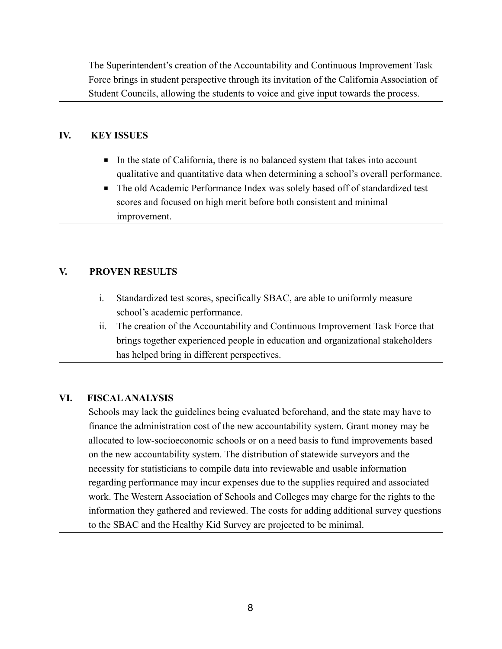The Superintendent's creation of the Accountability and Continuous Improvement Task Force brings in student perspective through its invitation of the California Association of Student Councils, allowing the students to voice and give input towards the process.

## **IV. KEY ISSUES**

- In the state of California, there is no balanced system that takes into account qualitative and quantitative data when determining a school's overall performance.
- The old Academic Performance Index was solely based off of standardized test scores and focused on high merit before both consistent and minimal improvement.

## **V. PROVEN RESULTS**

- i. Standardized test scores, specifically SBAC, are able to uniformly measure school's academic performance.
- ii. The creation of the Accountability and Continuous Improvement Task Force that brings together experienced people in education and organizational stakeholders has helped bring in different perspectives.

## **VI. FISCAL ANALYSIS**

Schools may lack the guidelines being evaluated beforehand, and the state may have to finance the administration cost of the new accountability system. Grant money may be allocated to low-socioeconomic schools or on a need basis to fund improvements based on the new accountability system. The distribution of statewide surveyors and the necessity for statisticians to compile data into reviewable and usable information regarding performance may incur expenses due to the supplies required and associated work. The Western Association of Schools and Colleges may charge for the rights to the information they gathered and reviewed. The costs for adding additional survey questions to the SBAC and the Healthy Kid Survey are projected to be minimal.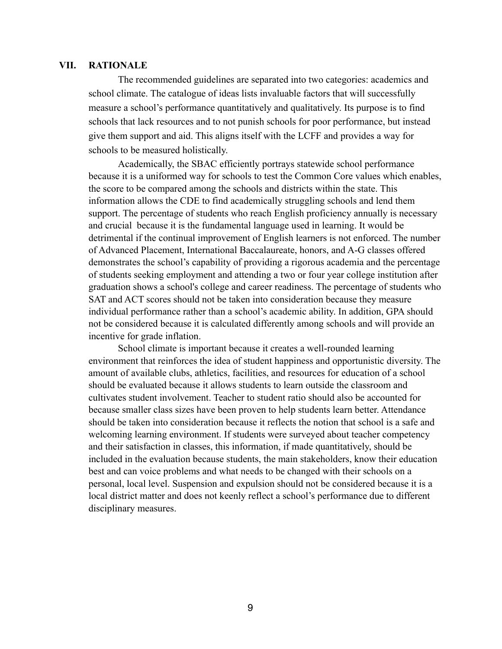#### **VII. RATIONALE**

The recommended guidelines are separated into two categories: academics and school climate. The catalogue of ideas lists invaluable factors that will successfully measure a school's performance quantitatively and qualitatively. Its purpose is to find schools that lack resources and to not punish schools for poor performance, but instead give them support and aid. This aligns itself with the LCFF and provides a way for schools to be measured holistically.

Academically, the SBAC efficiently portrays statewide school performance because it is a uniformed way for schools to test the Common Core values which enables, the score to be compared among the schools and districts within the state. This information allows the CDE to find academically struggling schools and lend them support. The percentage of students who reach English proficiency annually is necessary and crucial because it is the fundamental language used in learning. It would be detrimental if the continual improvement of English learners is not enforced. The number of Advanced Placement, International Baccalaureate, honors, and A-G classes offered demonstrates the school's capability of providing a rigorous academia and the percentage of students seeking employment and attending a two or four year college institution after graduation shows a school's college and career readiness. The percentage of students who SAT and ACT scores should not be taken into consideration because they measure individual performance rather than a school's academic ability. In addition, GPA should not be considered because it is calculated differently among schools and will provide an incentive for grade inflation.

School climate is important because it creates a well-rounded learning environment that reinforces the idea of student happiness and opportunistic diversity. The amount of available clubs, athletics, facilities, and resources for education of a school should be evaluated because it allows students to learn outside the classroom and cultivates student involvement. Teacher to student ratio should also be accounted for because smaller class sizes have been proven to help students learn better. Attendance should be taken into consideration because it reflects the notion that school is a safe and welcoming learning environment. If students were surveyed about teacher competency and their satisfaction in classes, this information, if made quantitatively, should be included in the evaluation because students, the main stakeholders, know their education best and can voice problems and what needs to be changed with their schools on a personal, local level. Suspension and expulsion should not be considered because it is a local district matter and does not keenly reflect a school's performance due to different disciplinary measures.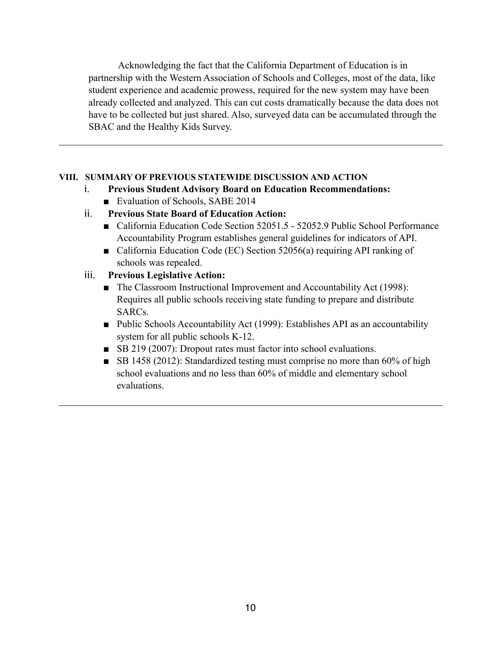Acknowledging the fact that the California Department of Education is in partnership with the Western Association of Schools and Colleges, most of the data, like student experience and academic prowess, required for the new system may have been already collected and analyzed. This can cut costs dramatically because the data does not have to be collected but just shared. Also, surveyed data can be accumulated through the SBAC and the Healthy Kids Survey.

## **VIII. SUMMARY OF PREVIOUS STATEWIDE DISCUSSION AND ACTION**

- i. **Previous Student Advisory Board on Education Recommendations:** ■ Evaluation of Schools, SABE 2014
- ii. **Previous State Board of Education Action:**
	- California Education Code Section 52051.5 52052.9 Public School Performance Accountability Program establishes general guidelines for indicators of API.
	- California Education Code (EC) Section 52056(a) requiring API ranking of schools was repealed.
- iii. **Previous Legislative Action:**
	- The Classroom Instructional Improvement and Accountability Act (1998): Requires all public schools receiving state funding to prepare and distribute SARCs.
	- Public Schools Accountability Act (1999): Establishes API as an accountability system for all public schools K-12.
	- SB 219 (2007): Dropout rates must factor into school evaluations.
	- SB 1458 (2012): Standardized testing must comprise no more than 60% of high school evaluations and no less than 60% of middle and elementary school evaluations.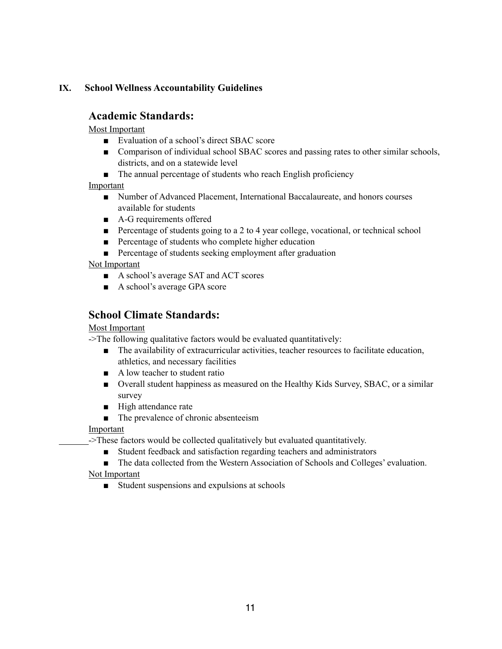## **IX. School Wellness Accountability Guidelines**

## **Academic Standards:**

Most Important

- Evaluation of a school's direct SBAC score
- Comparison of individual school SBAC scores and passing rates to other similar schools, districts, and on a statewide level
- The annual percentage of students who reach English proficiency

Important

- Number of Advanced Placement, International Baccalaureate, and honors courses available for students
- A-G requirements offered
- Percentage of students going to a 2 to 4 year college, vocational, or technical school
- Percentage of students who complete higher education
- Percentage of students seeking employment after graduation

Not Important

- A school's average SAT and ACT scores
- A school's average GPA score

## **School Climate Standards:**

#### Most Important

->The following qualitative factors would be evaluated quantitatively:

- The availability of extracurricular activities, teacher resources to facilitate education, athletics, and necessary facilities
- A low teacher to student ratio
- Overall student happiness as measured on the Healthy Kids Survey, SBAC, or a similar survey
- High attendance rate
- The prevalence of chronic absenteeism

Important

->These factors would be collected qualitatively but evaluated quantitatively.

■ Student feedback and satisfaction regarding teachers and administrators

■ The data collected from the Western Association of Schools and Colleges' evaluation.

Not Important

■ Student suspensions and expulsions at schools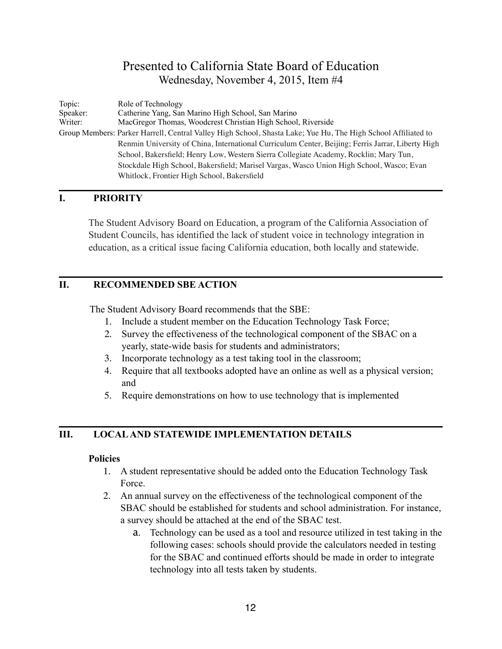## Presented to California State Board of Education Wednesday, November 4, 2015, Item #4

Topic: Role of Technology Speaker: Catherine Yang, San Marino High School, San Marino Writer: MacGregor Thomas, Woodcrest Christian High School MacGregor Thomas, Woodcrest Christian High School, Riverside Group Members: Parker Harrell, Central Valley High School, Shasta Lake; Yue Hu, The High School Affiliated to Renmin University of China, International Curriculum Center, Beijing; Ferris Jarrar, Liberty High School, Bakersfield; Henry Low, Western Sierra Collegiate Academy, Rocklin; Mary Tun, Stockdale High School, Bakersfield; Marisel Vargas, Wasco Union High School, Wasco; Evan Whitlock, Frontier High School, Bakersfield

## **I. PRIORITY**

The Student Advisory Board on Education, a program of the California Association of Student Councils, has identified the lack of student voice in technology integration in education, as a critical issue facing California education, both locally and statewide.

## **II. RECOMMENDED SBE ACTION**

The Student Advisory Board recommends that the SBE:

- 1. Include a student member on the Education Technology Task Force;
- 2. Survey the effectiveness of the technological component of the SBAC on a yearly, state-wide basis for students and administrators;
- 3. Incorporate technology as a test taking tool in the classroom;
- 4. Require that all textbooks adopted have an online as well as a physical version; and
- 5. Require demonstrations on how to use technology that is implemented

## **III. LOCAL AND STATEWIDE IMPLEMENTATION DETAILS**

## **Policies**

- 1. A student representative should be added onto the Education Technology Task Force.
- 2. An annual survey on the effectiveness of the technological component of the SBAC should be established for students and school administration. For instance, a survey should be attached at the end of the SBAC test.
	- a. Technology can be used as a tool and resource utilized in test taking in the following cases: schools should provide the calculators needed in testing for the SBAC and continued efforts should be made in order to integrate technology into all tests taken by students.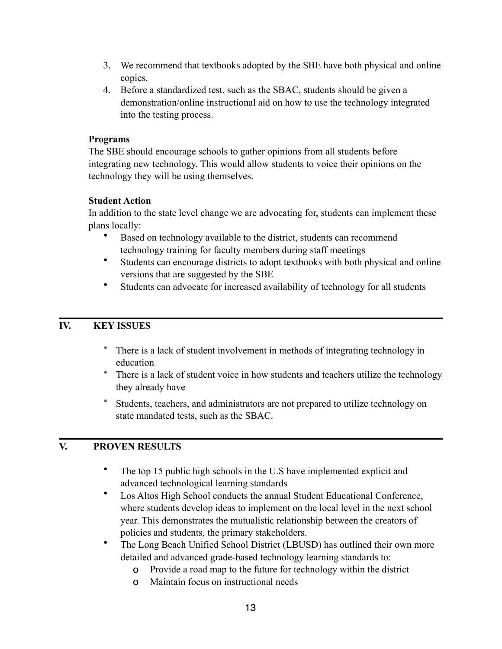- 3. We recommend that textbooks adopted by the SBE have both physical and online copies.
- 4. Before a standardized test, such as the SBAC, students should be given a demonstration/online instructional aid on how to use the technology integrated into the testing process.

## **Programs**

The SBE should encourage schools to gather opinions from all students before integrating new technology. This would allow students to voice their opinions on the technology they will be using themselves.

## **Student Action**

In addition to the state level change we are advocating for, students can implement these plans locally:

- Based on technology available to the district, students can recommend technology training for faculty members during staff meetings
- Students can encourage districts to adopt textbooks with both physical and online versions that are suggested by the SBE
- Students can advocate for increased availability of technology for all students

## **IV. KEY ISSUES**

- There is a lack of student involvement in methods of integrating technology in education
- There is a lack of student voice in how students and teachers utilize the technology they already have
- Students, teachers, and administrators are not prepared to utilize technology on state mandated tests, such as the SBAC.

## **V. PROVEN RESULTS**

- The top 15 public high schools in the U.S have implemented explicit and advanced technological learning standards
- Los Altos High School conducts the annual Student Educational Conference, where students develop ideas to implement on the local level in the next school year. This demonstrates the mutualistic relationship between the creators of policies and students, the primary stakeholders.
- The Long Beach Unified School District (LBUSD) has outlined their own more detailed and advanced grade-based technology learning standards to:
	- o Provide a road map to the future for technology within the district
	- o Maintain focus on instructional needs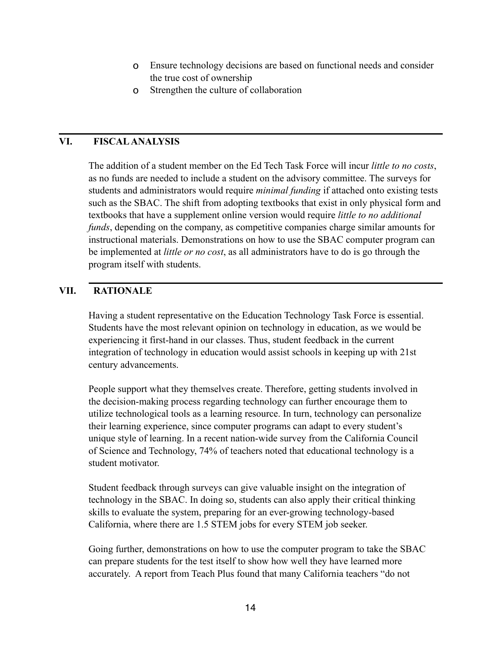- o Ensure technology decisions are based on functional needs and consider the true cost of ownership
- o Strengthen the culture of collaboration

## **VI. FISCAL ANALYSIS**

The addition of a student member on the Ed Tech Task Force will incur *little to no costs*, as no funds are needed to include a student on the advisory committee. The surveys for students and administrators would require *minimal funding* if attached onto existing tests such as the SBAC. The shift from adopting textbooks that exist in only physical form and textbooks that have a supplement online version would require *little to no additional funds*, depending on the company, as competitive companies charge similar amounts for instructional materials. Demonstrations on how to use the SBAC computer program can be implemented at *little or no cost*, as all administrators have to do is go through the program itself with students.

## **VII. RATIONALE**

Having a student representative on the Education Technology Task Force is essential. Students have the most relevant opinion on technology in education, as we would be experiencing it first-hand in our classes. Thus, student feedback in the current integration of technology in education would assist schools in keeping up with 21st century advancements.

People support what they themselves create. Therefore, getting students involved in the decision-making process regarding technology can further encourage them to utilize technological tools as a learning resource. In turn, technology can personalize their learning experience, since computer programs can adapt to every student's unique style of learning. In a recent nation-wide survey from the California Council of Science and Technology, 74% of teachers noted that educational technology is a student motivator.

Student feedback through surveys can give valuable insight on the integration of technology in the SBAC. In doing so, students can also apply their critical thinking skills to evaluate the system, preparing for an ever-growing technology-based California, where there are 1.5 STEM jobs for every STEM job seeker.

Going further, demonstrations on how to use the computer program to take the SBAC can prepare students for the test itself to show how well they have learned more accurately. A report from Teach Plus found that many California teachers "do not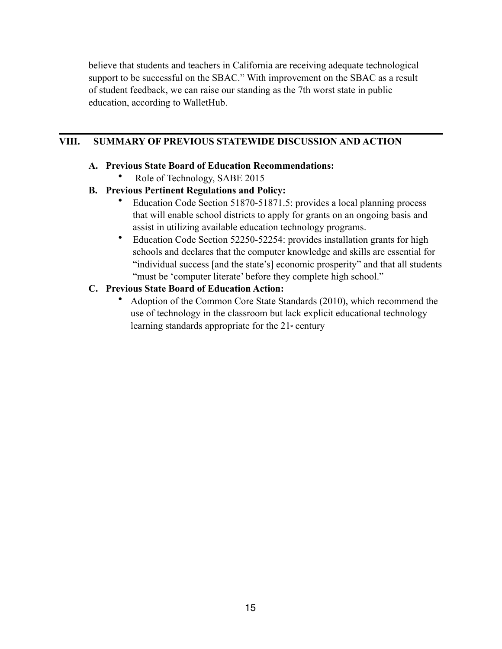believe that students and teachers in California are receiving adequate technological support to be successful on the SBAC." With improvement on the SBAC as a result of student feedback, we can raise our standing as the 7th worst state in public education, according to WalletHub.

## **VIII. SUMMARY OF PREVIOUS STATEWIDE DISCUSSION AND ACTION**

## **A. Previous State Board of Education Recommendations:**

• Role of Technology, SABE 2015

## **B. Previous Pertinent Regulations and Policy:**

- Education Code Section 51870-51871.5: provides a local planning process that will enable school districts to apply for grants on an ongoing basis and assist in utilizing available education technology programs.
- Education Code Section 52250-52254: provides installation grants for high schools and declares that the computer knowledge and skills are essential for "individual success [and the state's] economic prosperity" and that all students "must be 'computer literate' before they complete high school."

## **C. Previous State Board of Education Action:**

• Adoption of the Common Core State Standards (2010), which recommend the use of technology in the classroom but lack explicit educational technology learning standards appropriate for the  $21$ <sup>st</sup> century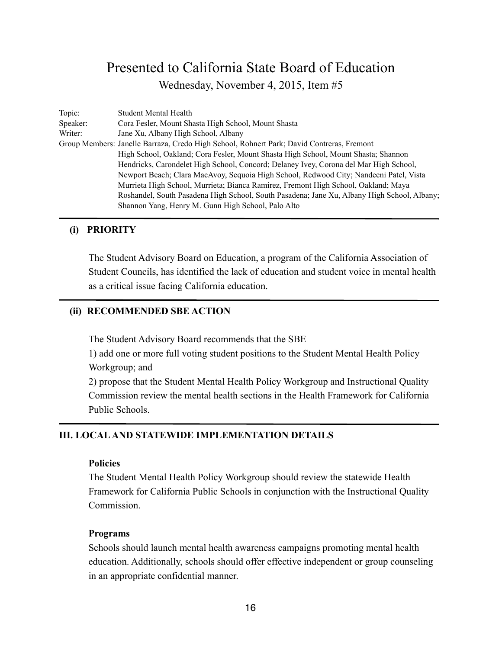## Presented to California State Board of Education Wednesday, November 4, 2015, Item #5

| Topic:   | Student Mental Health                                                                       |
|----------|---------------------------------------------------------------------------------------------|
| Speaker: | Cora Fesler, Mount Shasta High School, Mount Shasta                                         |
| Writer:  | Jane Xu, Albany High School, Albany                                                         |
|          | Group Members: Janelle Barraza, Credo High School, Rohnert Park; David Contreras, Fremont   |
|          | High School, Oakland; Cora Fesler, Mount Shasta High School, Mount Shasta; Shannon          |
|          | Hendricks, Carondelet High School, Concord; Delaney Ivey, Corona del Mar High School,       |
|          | Newport Beach; Clara MacAvoy, Sequoia High School, Redwood City; Nandeeni Patel, Vista      |
|          | Murrieta High School, Murrieta; Bianca Ramirez, Fremont High School, Oakland; Maya          |
|          | Roshandel, South Pasadena High School, South Pasadena; Jane Xu, Albany High School, Albany; |
|          | Shannon Yang, Henry M. Gunn High School, Palo Alto                                          |

## **(i) PRIORITY**

The Student Advisory Board on Education, a program of the California Association of Student Councils, has identified the lack of education and student voice in mental health as a critical issue facing California education.

## **(ii) RECOMMENDED SBE ACTION**

The Student Advisory Board recommends that the SBE

1) add one or more full voting student positions to the Student Mental Health Policy Workgroup; and

2) propose that the Student Mental Health Policy Workgroup and Instructional Quality Commission review the mental health sections in the Health Framework for California Public Schools.

## **III. LOCAL AND STATEWIDE IMPLEMENTATION DETAILS**

#### **Policies**

The Student Mental Health Policy Workgroup should review the statewide Health Framework for California Public Schools in conjunction with the Instructional Quality Commission.

#### **Programs**

Schools should launch mental health awareness campaigns promoting mental health education. Additionally, schools should offer effective independent or group counseling in an appropriate confidential manner.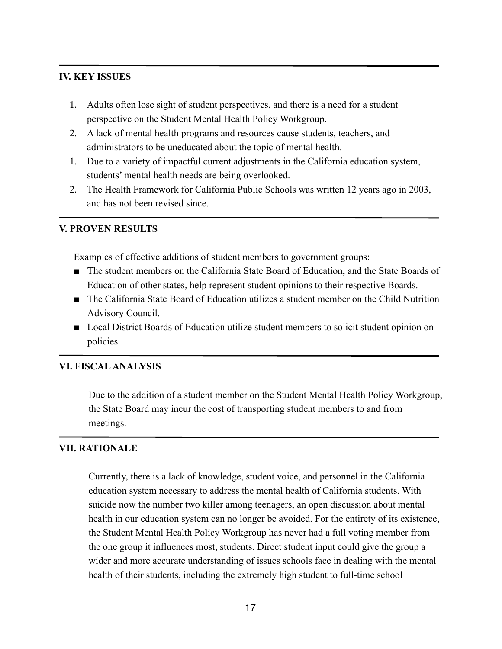## **IV. KEY ISSUES**

- 1. Adults often lose sight of student perspectives, and there is a need for a student perspective on the Student Mental Health Policy Workgroup.
- 2. A lack of mental health programs and resources cause students, teachers, and administrators to be uneducated about the topic of mental health.
- 1. Due to a variety of impactful current adjustments in the California education system, students' mental health needs are being overlooked.
- 2. The Health Framework for California Public Schools was written 12 years ago in 2003, and has not been revised since.

## **V. PROVEN RESULTS**

Examples of effective additions of student members to government groups:

- The student members on the California State Board of Education, and the State Boards of Education of other states, help represent student opinions to their respective Boards.
- The California State Board of Education utilizes a student member on the Child Nutrition Advisory Council.
- Local District Boards of Education utilize student members to solicit student opinion on policies.

#### **VI. FISCAL ANALYSIS**

Due to the addition of a student member on the Student Mental Health Policy Workgroup, the State Board may incur the cost of transporting student members to and from meetings.

## **VII. RATIONALE**

Currently, there is a lack of knowledge, student voice, and personnel in the California education system necessary to address the mental health of California students. With suicide now the number two killer among teenagers, an open discussion about mental health in our education system can no longer be avoided. For the entirety of its existence, the Student Mental Health Policy Workgroup has never had a full voting member from the one group it influences most, students. Direct student input could give the group a wider and more accurate understanding of issues schools face in dealing with the mental health of their students, including the extremely high student to full-time school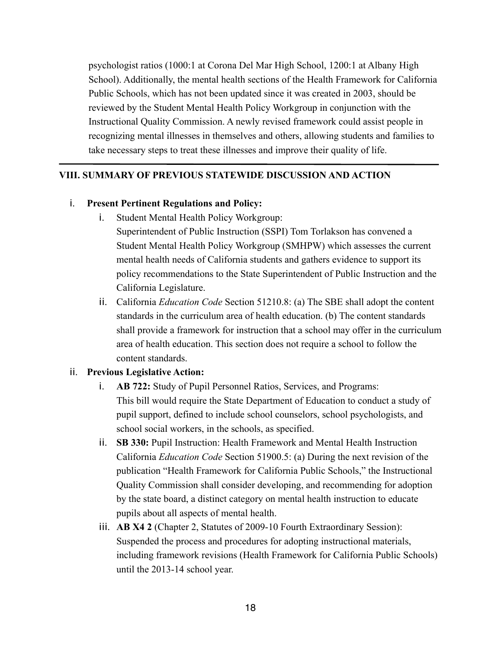psychologist ratios (1000:1 at Corona Del Mar High School, 1200:1 at Albany High School). Additionally, the mental health sections of the Health Framework for California Public Schools, which has not been updated since it was created in 2003, should be reviewed by the Student Mental Health Policy Workgroup in conjunction with the Instructional Quality Commission. A newly revised framework could assist people in recognizing mental illnesses in themselves and others, allowing students and families to take necessary steps to treat these illnesses and improve their quality of life.

#### **VIII. SUMMARY OF PREVIOUS STATEWIDE DISCUSSION AND ACTION**

#### i. **Present Pertinent Regulations and Policy:**

- i. Student Mental Health Policy Workgroup:
	- Superintendent of Public Instruction (SSPI) Tom Torlakson has convened a Student Mental Health Policy Workgroup (SMHPW) which assesses the current mental health needs of California students and gathers evidence to support its policy recommendations to the State Superintendent of Public Instruction and the California Legislature.
- ii. California *Education Code* Section 51210.8: (a) The SBE shall adopt the content standards in the curriculum area of health education. (b) The content standards shall provide a framework for instruction that a school may offer in the curriculum area of health education. This section does not require a school to follow the content standards.

#### ii. **Previous Legislative Action:**

- i. **AB 722:** Study of Pupil Personnel Ratios, Services, and Programs: This bill would require the State Department of Education to conduct a study of pupil support, defined to include school counselors, school psychologists, and school social workers, in the schools, as specified.
- ii. **SB 330:** Pupil Instruction: Health Framework and Mental Health Instruction California *Education Code* Section 51900.5: (a) During the next revision of the publication "Health Framework for California Public Schools," the Instructional Quality Commission shall consider developing, and recommending for adoption by the state board, a distinct category on mental health instruction to educate pupils about all aspects of mental health.
- iii. **AB X4 2** (Chapter 2, Statutes of 2009-10 Fourth Extraordinary Session): Suspended the process and procedures for adopting instructional materials, including framework revisions (Health Framework for California Public Schools) until the 2013-14 school year.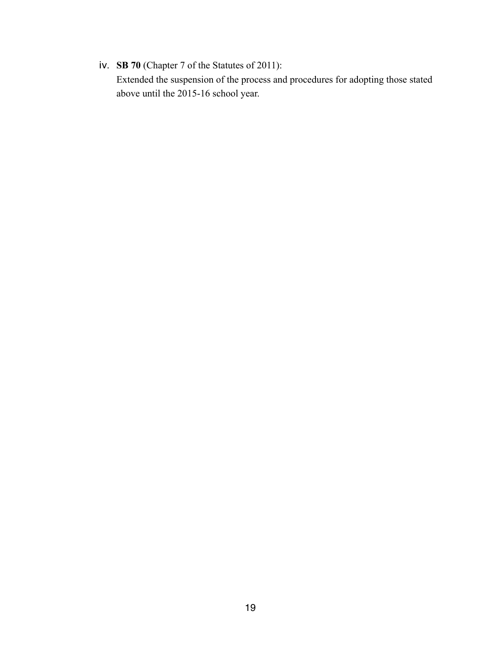iv. **SB 70** (Chapter 7 of the Statutes of 2011): Extended the suspension of the process and procedures for adopting those stated above until the 2015-16 school year.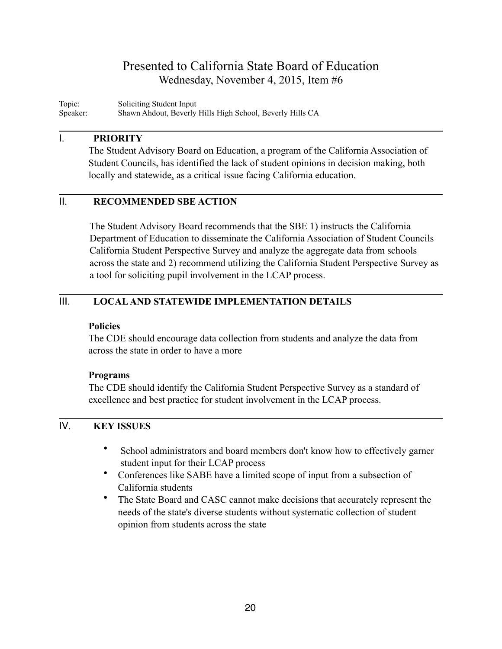## Presented to California State Board of Education Wednesday, November 4, 2015, Item #6

Topic: Soliciting Student Input<br>Speaker: Shawn Ahdout, Beverly Shawn Ahdout, Beverly Hills High School, Beverly Hills CA

#### I. **PRIORITY**

The Student Advisory Board on Education, a program of the California Association of Student Councils, has identified the lack of student opinions in decision making, both locally and statewide, as a critical issue facing California education.

## II. **RECOMMENDED SBE ACTION**

The Student Advisory Board recommends that the SBE 1) instructs the California Department of Education to disseminate the California Association of Student Councils California Student Perspective Survey and analyze the aggregate data from schools across the state and 2) recommend utilizing the California Student Perspective Survey as a tool for soliciting pupil involvement in the LCAP process.

## III. **LOCAL AND STATEWIDE IMPLEMENTATION DETAILS**

## **Policies**

The CDE should encourage data collection from students and analyze the data from across the state in order to have a more

## **Programs**

The CDE should identify the California Student Perspective Survey as a standard of excellence and best practice for student involvement in the LCAP process.

## IV. **KEY ISSUES**

- School administrators and board members don't know how to effectively garner student input for their LCAP process
- Conferences like SABE have a limited scope of input from a subsection of California students
- The State Board and CASC cannot make decisions that accurately represent the needs of the state's diverse students without systematic collection of student opinion from students across the state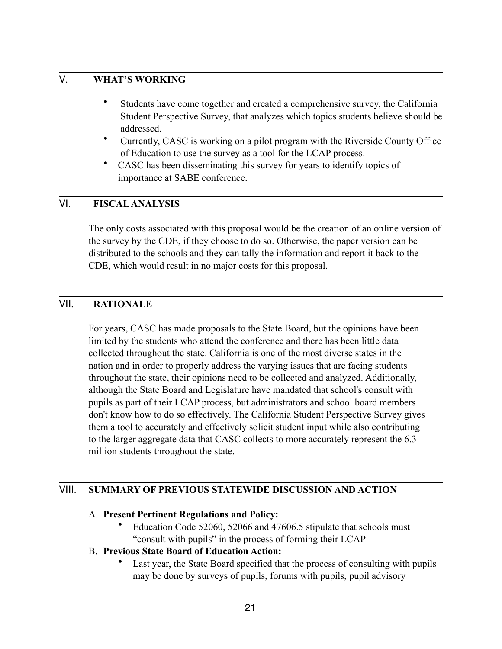## V. **WHAT'S WORKING**

- Students have come together and created a comprehensive survey, the California Student Perspective Survey, that analyzes which topics students believe should be addressed.
- Currently, CASC is working on a pilot program with the Riverside County Office of Education to use the survey as a tool for the LCAP process.
- CASC has been disseminating this survey for years to identify topics of importance at SABE conference.

## VI. **FISCAL ANALYSIS**

The only costs associated with this proposal would be the creation of an online version of the survey by the CDE, if they choose to do so. Otherwise, the paper version can be distributed to the schools and they can tally the information and report it back to the CDE, which would result in no major costs for this proposal.

## VII. **RATIONALE**

For years, CASC has made proposals to the State Board, but the opinions have been limited by the students who attend the conference and there has been little data collected throughout the state. California is one of the most diverse states in the nation and in order to properly address the varying issues that are facing students throughout the state, their opinions need to be collected and analyzed. Additionally, although the State Board and Legislature have mandated that school's consult with pupils as part of their LCAP process, but administrators and school board members don't know how to do so effectively. The California Student Perspective Survey gives them a tool to accurately and effectively solicit student input while also contributing to the larger aggregate data that CASC collects to more accurately represent the 6.3 million students throughout the state.

## VIII. **SUMMARY OF PREVIOUS STATEWIDE DISCUSSION AND ACTION**

## A. **Present Pertinent Regulations and Policy:**

• Education Code 52060, 52066 and 47606.5 stipulate that schools must "consult with pupils" in the process of forming their LCAP

## B. **Previous State Board of Education Action:**

Last year, the State Board specified that the process of consulting with pupils may be done by surveys of pupils, forums with pupils, pupil advisory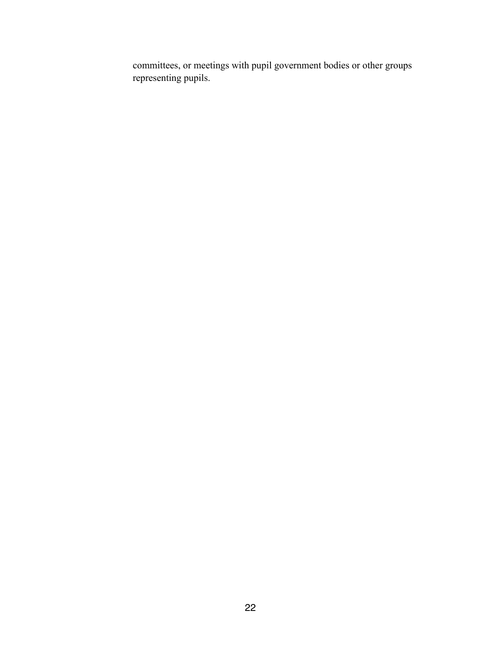committees, or meetings with pupil government bodies or other groups representing pupils.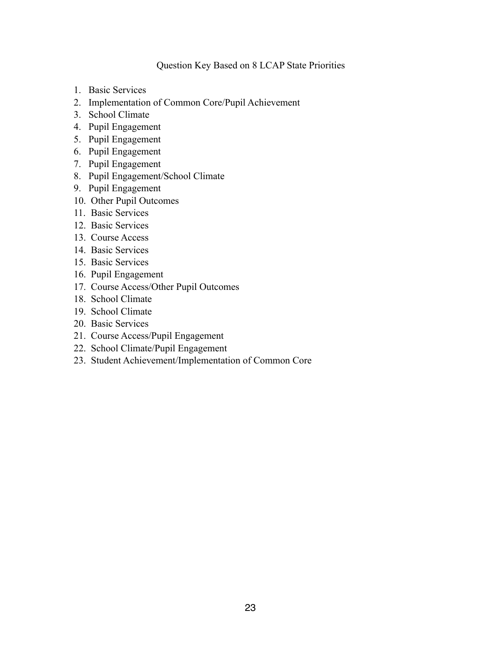#### Question Key Based on 8 LCAP State Priorities

- 1. Basic Services
- 2. Implementation of Common Core/Pupil Achievement
- 3. School Climate
- 4. Pupil Engagement
- 5. Pupil Engagement
- 6. Pupil Engagement
- 7. Pupil Engagement
- 8. Pupil Engagement/School Climate
- 9. Pupil Engagement
- 10. Other Pupil Outcomes
- 11. Basic Services
- 12. Basic Services
- 13. Course Access
- 14. Basic Services
- 15. Basic Services
- 16. Pupil Engagement
- 17. Course Access/Other Pupil Outcomes
- 18. School Climate
- 19. School Climate
- 20. Basic Services
- 21. Course Access/Pupil Engagement
- 22. School Climate/Pupil Engagement
- 23. Student Achievement/Implementation of Common Core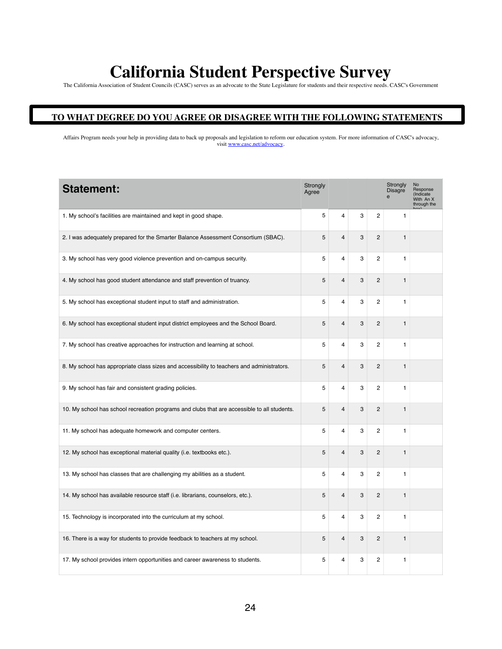# **California Student Perspective Survey**

The California Association of Student Councils (CASC) serves as an advocate to the State Legislature for students and their respective needs. CASC's Government

#### **TO WHAT DEGREE DO YOU AGREE OR DISAGREE WITH THE FOLLOWING STATEMENTS**

Affairs Program needs your help in providing data to back up proposals and legislation to reform our education system. For more information of CASC's advocacy, visit www.casc.net/advocacy.

| <b>Statement:</b>                                                                           | Strongly<br>Agree |                         |   |                | Strongly<br><b>Disagre</b> | <b>No</b><br>Response<br>(Indicate<br>With An X<br>through the |
|---------------------------------------------------------------------------------------------|-------------------|-------------------------|---|----------------|----------------------------|----------------------------------------------------------------|
| 1. My school's facilities are maintained and kept in good shape.                            | 5                 | $\overline{4}$          | 3 | $\overline{c}$ | $\mathbf{1}$               |                                                                |
| 2. I was adequately prepared for the Smarter Balance Assessment Consortium (SBAC).          | 5                 | $\overline{4}$          | 3 | 2              | $\mathbf{1}$               |                                                                |
| 3. My school has very good violence prevention and on-campus security.                      | 5                 | $\overline{\mathbf{4}}$ | 3 | 2              | 1                          |                                                                |
| 4. My school has good student attendance and staff prevention of truancy.                   | 5                 | $\overline{4}$          | 3 | $\overline{2}$ | $\mathbf{1}$               |                                                                |
| 5. My school has exceptional student input to staff and administration.                     | 5                 | $\overline{\mathbf{4}}$ | 3 | 2              | 1                          |                                                                |
| 6. My school has exceptional student input district employees and the School Board.         | 5                 | 4                       | 3 | 2              | $\mathbf{1}$               |                                                                |
| 7. My school has creative approaches for instruction and learning at school.                | 5                 | 4                       | 3 | $\overline{c}$ | 1                          |                                                                |
| 8. My school has appropriate class sizes and accessibility to teachers and administrators.  | 5                 | $\overline{4}$          | 3 | 2              | $\mathbf{1}$               |                                                                |
| 9. My school has fair and consistent grading policies.                                      | 5                 | $\overline{\mathbf{4}}$ | 3 | $\overline{c}$ | $\mathbf{1}$               |                                                                |
| 10. My school has school recreation programs and clubs that are accessible to all students. | 5                 | $\overline{4}$          | 3 | $\overline{c}$ | $\mathbf{1}$               |                                                                |
| 11. My school has adequate homework and computer centers.                                   | 5                 | $\overline{\mathbf{4}}$ | 3 | 2              | $\mathbf{1}$               |                                                                |
| 12. My school has exceptional material quality (i.e. textbooks etc.).                       | 5                 | $\overline{4}$          | 3 | $\overline{2}$ | $\mathbf{1}$               |                                                                |
| 13. My school has classes that are challenging my abilities as a student.                   | 5                 | $\overline{\mathbf{4}}$ | 3 | $\overline{2}$ | 1                          |                                                                |
| 14. My school has available resource staff (i.e. librarians, counselors, etc.).             | 5                 | $\overline{4}$          | 3 | 2              | $\mathbf{1}$               |                                                                |
| 15. Technology is incorporated into the curriculum at my school.                            | 5                 | $\overline{4}$          | 3 | $\overline{2}$ | $\mathbf{1}$               |                                                                |
| 16. There is a way for students to provide feedback to teachers at my school.               | 5                 | $\overline{4}$          | 3 | $\overline{2}$ | $\mathbf{1}$               |                                                                |
| 17. My school provides intern opportunities and career awareness to students.               | 5                 | 4                       | 3 | 2              | 1                          |                                                                |